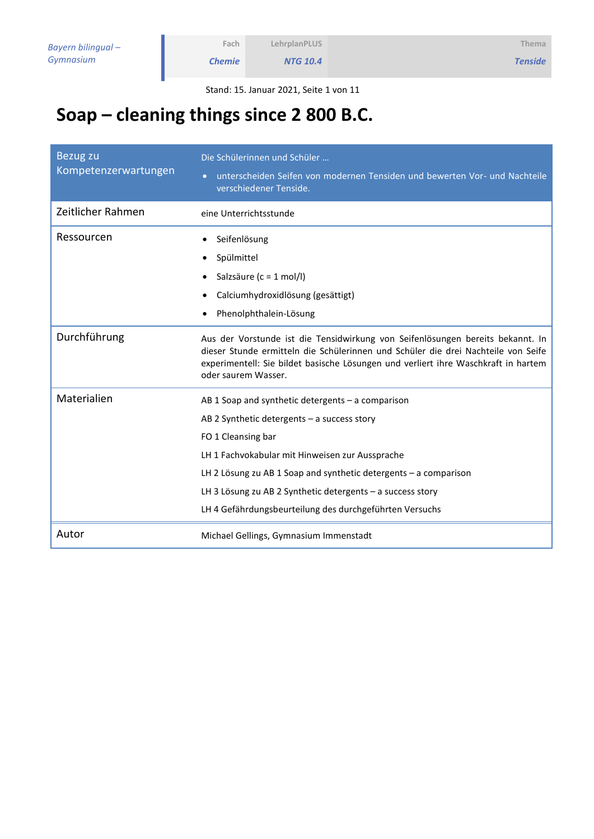*Tenside*

Stand: 15. Januar 2021, Seite 1 von 11

# **Soap – cleaning things since 2 800 B.C.**

**Fach** *Chemie*

| Bezug zu<br>Kompetenzerwartungen | Die Schülerinnen und Schüler<br>unterscheiden Seifen von modernen Tensiden und bewerten Vor- und Nachteile<br>verschiedener Tenside.                                                                                                                                             |  |
|----------------------------------|----------------------------------------------------------------------------------------------------------------------------------------------------------------------------------------------------------------------------------------------------------------------------------|--|
| Zeitlicher Rahmen                | eine Unterrichtsstunde                                                                                                                                                                                                                                                           |  |
| Ressourcen                       | Seifenlösung<br>$\bullet$                                                                                                                                                                                                                                                        |  |
|                                  | Spülmittel                                                                                                                                                                                                                                                                       |  |
|                                  | Salzsäure (c = 1 mol/l)<br>$\bullet$                                                                                                                                                                                                                                             |  |
|                                  | Calciumhydroxidlösung (gesättigt)                                                                                                                                                                                                                                                |  |
|                                  | Phenolphthalein-Lösung                                                                                                                                                                                                                                                           |  |
| Durchführung                     | Aus der Vorstunde ist die Tensidwirkung von Seifenlösungen bereits bekannt. In<br>dieser Stunde ermitteln die Schülerinnen und Schüler die drei Nachteile von Seife<br>experimentell: Sie bildet basische Lösungen und verliert ihre Waschkraft in hartem<br>oder saurem Wasser. |  |
| Materialien                      | AB 1 Soap and synthetic detergents - a comparison                                                                                                                                                                                                                                |  |
|                                  | AB 2 Synthetic detergents $-$ a success story                                                                                                                                                                                                                                    |  |
|                                  | FO 1 Cleansing bar                                                                                                                                                                                                                                                               |  |
|                                  | LH 1 Fachvokabular mit Hinweisen zur Aussprache                                                                                                                                                                                                                                  |  |
|                                  | LH 2 Lösung zu AB 1 Soap and synthetic detergents - a comparison                                                                                                                                                                                                                 |  |
|                                  | LH 3 Lösung zu AB 2 Synthetic detergents $-$ a success story                                                                                                                                                                                                                     |  |
|                                  | LH 4 Gefährdungsbeurteilung des durchgeführten Versuchs                                                                                                                                                                                                                          |  |
| Autor                            | Michael Gellings, Gymnasium Immenstadt                                                                                                                                                                                                                                           |  |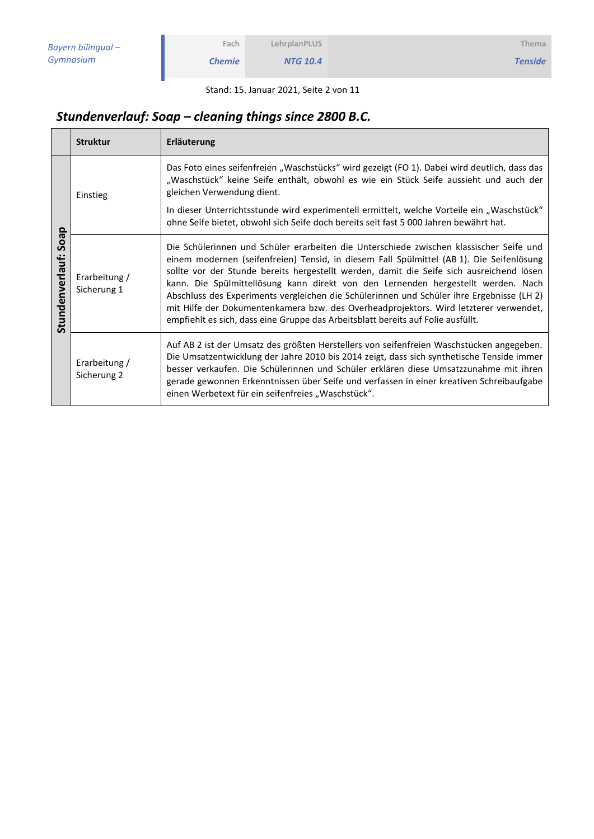| LehrplanPLUS |  |
|--------------|--|
|--------------|--|

*NTG 10.4*

Stand: 15. Januar 2021, Seite 2 von 11

## *Stundenverlauf: Soap – cleaning things since 2800 B.C.*

**Fach** *Chemie*

|                                   | <b>Struktur</b>              | Erläuterung                                                                                                                                                                                                                                                                                                                                                                                                                                                                                                                                                                                                                                    |
|-----------------------------------|------------------------------|------------------------------------------------------------------------------------------------------------------------------------------------------------------------------------------------------------------------------------------------------------------------------------------------------------------------------------------------------------------------------------------------------------------------------------------------------------------------------------------------------------------------------------------------------------------------------------------------------------------------------------------------|
| θe                                | Einstieg                     | Das Foto eines seifenfreien "Waschstücks" wird gezeigt (FO 1). Dabei wird deutlich, dass das<br>"Waschstück" keine Seife enthält, obwohl es wie ein Stück Seife aussieht und auch der<br>gleichen Verwendung dient.<br>In dieser Unterrichtsstunde wird experimentell ermittelt, welche Vorteile ein "Waschstück"<br>ohne Seife bietet, obwohl sich Seife doch bereits seit fast 5 000 Jahren bewährt hat.                                                                                                                                                                                                                                     |
| $\circ$<br>Ū<br>ቴ<br>Stundenverla | Erarbeitung /<br>Sicherung 1 | Die Schülerinnen und Schüler erarbeiten die Unterschiede zwischen klassischer Seife und<br>einem modernen (seifenfreien) Tensid, in diesem Fall Spülmittel (AB 1). Die Seifenlösung<br>sollte vor der Stunde bereits hergestellt werden, damit die Seife sich ausreichend lösen<br>kann. Die Spülmittellösung kann direkt von den Lernenden hergestellt werden. Nach<br>Abschluss des Experiments vergleichen die Schülerinnen und Schüler ihre Ergebnisse (LH 2)<br>mit Hilfe der Dokumentenkamera bzw. des Overheadprojektors. Wird letzterer verwendet,<br>empfiehlt es sich, dass eine Gruppe das Arbeitsblatt bereits auf Folie ausfüllt. |
|                                   | Erarbeitung /<br>Sicherung 2 | Auf AB 2 ist der Umsatz des größten Herstellers von seifenfreien Waschstücken angegeben.<br>Die Umsatzentwicklung der Jahre 2010 bis 2014 zeigt, dass sich synthetische Tenside immer<br>besser verkaufen. Die Schülerinnen und Schüler erklären diese Umsatzzunahme mit ihren<br>gerade gewonnen Erkenntnissen über Seife und verfassen in einer kreativen Schreibaufgabe<br>einen Werbetext für ein seifenfreies "Waschstück".                                                                                                                                                                                                               |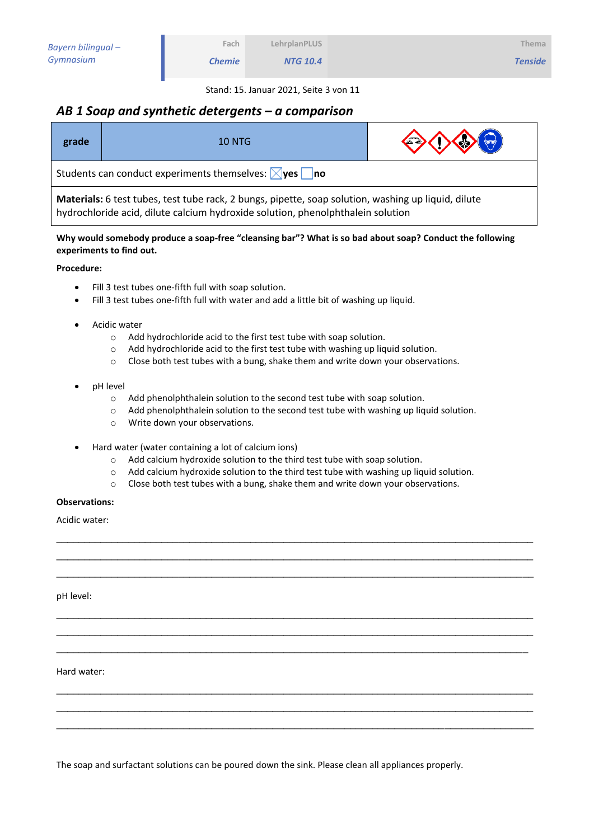*NTG 10.4*

Stand: 15. Januar 2021, Seite 3 von 11

### *AB 1 Soap and synthetic detergents – a comparison*

**Fach** *Chemie*

| grade                                                                                                                                                                                  | <b>10 NTG</b> | $\bigodot \bigodot \bigodot \bigodot$ |
|----------------------------------------------------------------------------------------------------------------------------------------------------------------------------------------|---------------|---------------------------------------|
| Students can conduct experiments themselves: $\boxtimes$ yes no                                                                                                                        |               |                                       |
| Materials: 6 test tubes, test tube rack, 2 bungs, pipette, soap solution, washing up liquid, dilute<br>hydrochloride acid, dilute calcium hydroxide solution, phenolphthalein solution |               |                                       |

**Why would somebody produce a soap-free "cleansing bar"? What is so bad about soap? Conduct the following experiments to find out.**

#### **Procedure:**

- Fill 3 test tubes one-fifth full with soap solution.
- Fill 3 test tubes one-fifth full with water and add a little bit of washing up liquid.
- Acidic water
	- o Add hydrochloride acid to the first test tube with soap solution.
	- $\circ$  Add hydrochloride acid to the first test tube with washing up liquid solution.
	- o Close both test tubes with a bung, shake them and write down your observations.
- pH level
	- o Add phenolphthalein solution to the second test tube with soap solution.
	- o Add phenolphthalein solution to the second test tube with washing up liquid solution.
	- o Write down your observations.
- Hard water (water containing a lot of calcium ions)
	- o Add calcium hydroxide solution to the third test tube with soap solution.
	- o Add calcium hydroxide solution to the third test tube with washing up liquid solution.

\_\_\_\_\_\_\_\_\_\_\_\_\_\_\_\_\_\_\_\_\_\_\_\_\_\_\_\_\_\_\_\_\_\_\_\_\_\_\_\_\_\_\_\_\_\_\_\_\_\_\_\_\_\_\_\_\_\_\_\_\_\_\_\_\_\_\_\_\_\_\_\_\_\_\_\_\_\_\_\_\_\_\_\_\_\_ \_\_\_\_\_\_\_\_\_\_\_\_\_\_\_\_\_\_\_\_\_\_\_\_\_\_\_\_\_\_\_\_\_\_\_\_\_\_\_\_\_\_\_\_\_\_\_\_\_\_\_\_\_\_\_\_\_\_\_\_\_\_\_\_\_\_\_\_\_\_\_\_\_\_\_\_\_\_\_\_\_\_\_\_\_\_ \_\_\_\_\_\_\_\_\_\_\_\_\_\_\_\_\_\_\_\_\_\_\_\_\_\_\_\_\_\_\_\_\_\_\_\_\_\_\_\_\_\_\_\_\_\_\_\_\_\_\_\_\_\_\_\_\_\_\_\_\_\_\_\_\_\_\_\_\_\_\_\_\_\_\_\_\_\_\_\_\_\_\_\_\_\_

\_\_\_\_\_\_\_\_\_\_\_\_\_\_\_\_\_\_\_\_\_\_\_\_\_\_\_\_\_\_\_\_\_\_\_\_\_\_\_\_\_\_\_\_\_\_\_\_\_\_\_\_\_\_\_\_\_\_\_\_\_\_\_\_\_\_\_\_\_\_\_\_\_\_\_\_\_\_\_\_\_\_\_\_\_\_ \_\_\_\_\_\_\_\_\_\_\_\_\_\_\_\_\_\_\_\_\_\_\_\_\_\_\_\_\_\_\_\_\_\_\_\_\_\_\_\_\_\_\_\_\_\_\_\_\_\_\_\_\_\_\_\_\_\_\_\_\_\_\_\_\_\_\_\_\_\_\_\_\_\_\_\_\_\_\_\_\_\_\_\_\_\_ \_\_\_\_\_\_\_\_\_\_\_\_\_\_\_\_\_\_\_\_\_\_\_\_\_\_\_\_\_\_\_\_\_\_\_\_\_\_\_\_\_\_\_\_\_\_\_\_\_\_\_\_\_\_\_\_\_\_\_\_\_\_\_\_\_\_\_\_\_\_\_\_\_\_\_\_\_\_\_\_\_\_\_\_\_

\_\_\_\_\_\_\_\_\_\_\_\_\_\_\_\_\_\_\_\_\_\_\_\_\_\_\_\_\_\_\_\_\_\_\_\_\_\_\_\_\_\_\_\_\_\_\_\_\_\_\_\_\_\_\_\_\_\_\_\_\_\_\_\_\_\_\_\_\_\_\_\_\_\_\_\_\_\_\_\_\_\_\_\_\_\_ \_\_\_\_\_\_\_\_\_\_\_\_\_\_\_\_\_\_\_\_\_\_\_\_\_\_\_\_\_\_\_\_\_\_\_\_\_\_\_\_\_\_\_\_\_\_\_\_\_\_\_\_\_\_\_\_\_\_\_\_\_\_\_\_\_\_\_\_\_\_\_\_\_\_\_\_\_\_\_\_\_\_\_\_\_\_ \_\_\_\_\_\_\_\_\_\_\_\_\_\_\_\_\_\_\_\_\_\_\_\_\_\_\_\_\_\_\_\_\_\_\_\_\_\_\_\_\_\_\_\_\_\_\_\_\_\_\_\_\_\_\_\_\_\_\_\_\_\_\_\_\_\_\_\_\_\_\_\_\_\_\_\_\_\_\_\_\_\_\_\_\_\_

o Close both test tubes with a bung, shake them and write down your observations.

#### **Observations:**

Acidic water:

pH level:

Hard water:

The soap and surfactant solutions can be poured down the sink. Please clean all appliances properly.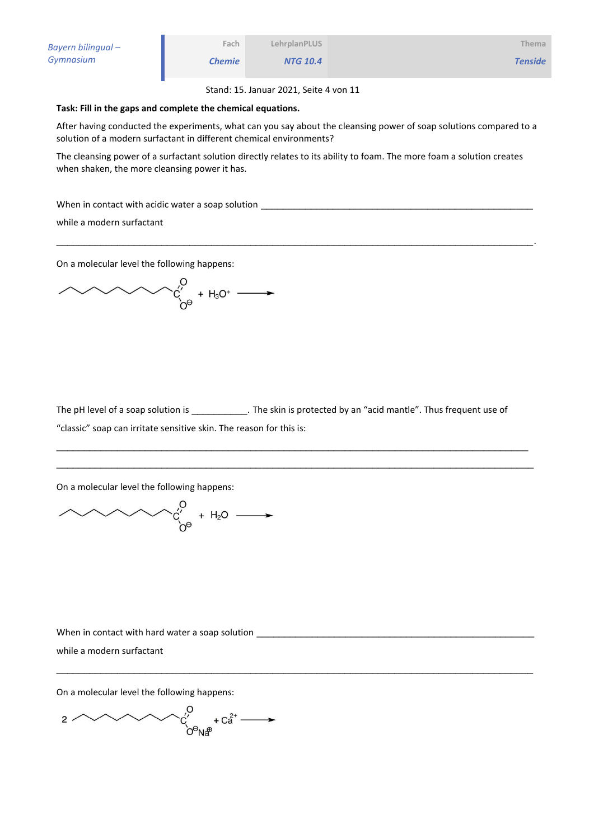| Bayern bilingual – | Fach          | LehrplanPLUS    | Thema          |
|--------------------|---------------|-----------------|----------------|
| Gymnasium          | <b>Chemie</b> | <b>NTG 10.4</b> | <b>Tenside</b> |

Stand: 15. Januar 2021, Seite 4 von 11

#### **Task: Fill in the gaps and complete the chemical equations.**

After having conducted the experiments, what can you say about the cleansing power of soap solutions compared to a solution of a modern surfactant in different chemical environments?

The cleansing power of a surfactant solution directly relates to its ability to foam. The more foam a solution creates when shaken, the more cleansing power it has.

\_\_\_\_\_\_\_\_\_\_\_\_\_\_\_\_\_\_\_\_\_\_\_\_\_\_\_\_\_\_\_\_\_\_\_\_\_\_\_\_\_\_\_\_\_\_\_\_\_\_\_\_\_\_\_\_\_\_\_\_\_\_\_\_\_\_\_\_\_\_\_\_\_\_\_\_\_\_\_\_\_\_\_\_\_\_.

When in contact with acidic water a soap solution \_\_\_\_\_\_\_\_\_\_\_\_\_\_\_\_\_\_\_\_\_\_\_\_\_\_\_\_\_\_\_\_\_\_\_\_\_\_\_\_\_\_\_\_\_\_\_\_\_

while a modern surfactant

On a molecular level the following happens:

The pH level of a soap solution is \_\_\_\_\_\_\_\_\_\_\_. The skin is protected by an "acid mantle". Thus frequent use of "classic" soap can irritate sensitive skin. The reason for this is:

\_\_\_\_\_\_\_\_\_\_\_\_\_\_\_\_\_\_\_\_\_\_\_\_\_\_\_\_\_\_\_\_\_\_\_\_\_\_\_\_\_\_\_\_\_\_\_\_\_\_\_\_\_\_\_\_\_\_\_\_\_\_\_\_\_\_\_\_\_\_\_\_\_\_\_\_\_\_\_\_\_\_\_\_\_ \_\_\_\_\_\_\_\_\_\_\_\_\_\_\_\_\_\_\_\_\_\_\_\_\_\_\_\_\_\_\_\_\_\_\_\_\_\_\_\_\_\_\_\_\_\_\_\_\_\_\_\_\_\_\_\_\_\_\_\_\_\_\_\_\_\_\_\_\_\_\_\_\_\_\_\_\_\_\_\_\_\_\_\_\_\_

\_\_\_\_\_\_\_\_\_\_\_\_\_\_\_\_\_\_\_\_\_\_\_\_\_\_\_\_\_\_\_\_\_\_\_\_\_\_\_\_\_\_\_\_\_\_\_\_\_\_\_\_\_\_\_\_\_\_\_\_\_\_\_\_\_\_\_\_\_\_\_\_\_\_\_\_\_\_\_\_\_\_\_\_\_\_

On a molecular level the following happens:

 $\begin{array}{ccc} \n\searrow & & 0 & \rightarrow \\ \n\searrow & & + H_2O & \longrightarrow \n\end{array}$ 

When in contact with hard water a soap solution \_\_\_\_\_\_\_\_\_\_\_\_\_\_\_\_\_\_\_\_\_\_\_\_\_\_\_\_\_\_\_\_\_ while a modern surfactant

On a molecular level the following happens:

 $C_{\text{C}}^{\text{O}}$  +  $C_{\text{A}}^{\frac{2}{\alpha^*}}$   $\longrightarrow$  $2<sup>2</sup>$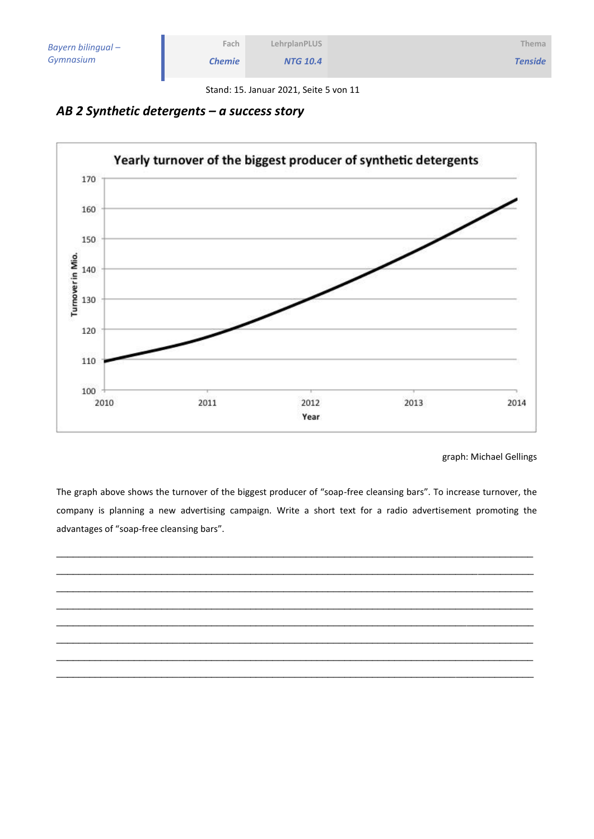| Bayern bilingual - | Fach          | <b>LehrplanPLUS</b> | <b>Thema</b>   |
|--------------------|---------------|---------------------|----------------|
| Gymnasium          | <b>Chemie</b> | <b>NTG 10.4</b>     | <b>Tenside</b> |

Stand: 15. Januar 2021, Seite 5 von 11

## *AB 2 Synthetic detergents – a success story*



graph: Michael Gellings

The graph above shows the turnover of the biggest producer of "soap-free cleansing bars". To increase turnover, the company is planning a new advertising campaign. Write a short text for a radio advertisement promoting the advantages of "soap-free cleansing bars".

\_\_\_\_\_\_\_\_\_\_\_\_\_\_\_\_\_\_\_\_\_\_\_\_\_\_\_\_\_\_\_\_\_\_\_\_\_\_\_\_\_\_\_\_\_\_\_\_\_\_\_\_\_\_\_\_\_\_\_\_\_\_\_\_\_\_\_\_\_\_\_\_\_\_\_\_\_\_\_\_\_\_\_\_\_\_ \_\_\_\_\_\_\_\_\_\_\_\_\_\_\_\_\_\_\_\_\_\_\_\_\_\_\_\_\_\_\_\_\_\_\_\_\_\_\_\_\_\_\_\_\_\_\_\_\_\_\_\_\_\_\_\_\_\_\_\_\_\_\_\_\_\_\_\_\_\_\_\_\_\_\_\_\_\_\_\_\_\_\_\_\_\_ \_\_\_\_\_\_\_\_\_\_\_\_\_\_\_\_\_\_\_\_\_\_\_\_\_\_\_\_\_\_\_\_\_\_\_\_\_\_\_\_\_\_\_\_\_\_\_\_\_\_\_\_\_\_\_\_\_\_\_\_\_\_\_\_\_\_\_\_\_\_\_\_\_\_\_\_\_\_\_\_\_\_\_\_\_\_ \_\_\_\_\_\_\_\_\_\_\_\_\_\_\_\_\_\_\_\_\_\_\_\_\_\_\_\_\_\_\_\_\_\_\_\_\_\_\_\_\_\_\_\_\_\_\_\_\_\_\_\_\_\_\_\_\_\_\_\_\_\_\_\_\_\_\_\_\_\_\_\_\_\_\_\_\_\_\_\_\_\_\_\_\_\_ \_\_\_\_\_\_\_\_\_\_\_\_\_\_\_\_\_\_\_\_\_\_\_\_\_\_\_\_\_\_\_\_\_\_\_\_\_\_\_\_\_\_\_\_\_\_\_\_\_\_\_\_\_\_\_\_\_\_\_\_\_\_\_\_\_\_\_\_\_\_\_\_\_\_\_\_\_\_\_\_\_\_\_\_\_\_ \_\_\_\_\_\_\_\_\_\_\_\_\_\_\_\_\_\_\_\_\_\_\_\_\_\_\_\_\_\_\_\_\_\_\_\_\_\_\_\_\_\_\_\_\_\_\_\_\_\_\_\_\_\_\_\_\_\_\_\_\_\_\_\_\_\_\_\_\_\_\_\_\_\_\_\_\_\_\_\_\_\_\_\_\_\_ \_\_\_\_\_\_\_\_\_\_\_\_\_\_\_\_\_\_\_\_\_\_\_\_\_\_\_\_\_\_\_\_\_\_\_\_\_\_\_\_\_\_\_\_\_\_\_\_\_\_\_\_\_\_\_\_\_\_\_\_\_\_\_\_\_\_\_\_\_\_\_\_\_\_\_\_\_\_\_\_\_\_\_\_\_\_ \_\_\_\_\_\_\_\_\_\_\_\_\_\_\_\_\_\_\_\_\_\_\_\_\_\_\_\_\_\_\_\_\_\_\_\_\_\_\_\_\_\_\_\_\_\_\_\_\_\_\_\_\_\_\_\_\_\_\_\_\_\_\_\_\_\_\_\_\_\_\_\_\_\_\_\_\_\_\_\_\_\_\_\_\_\_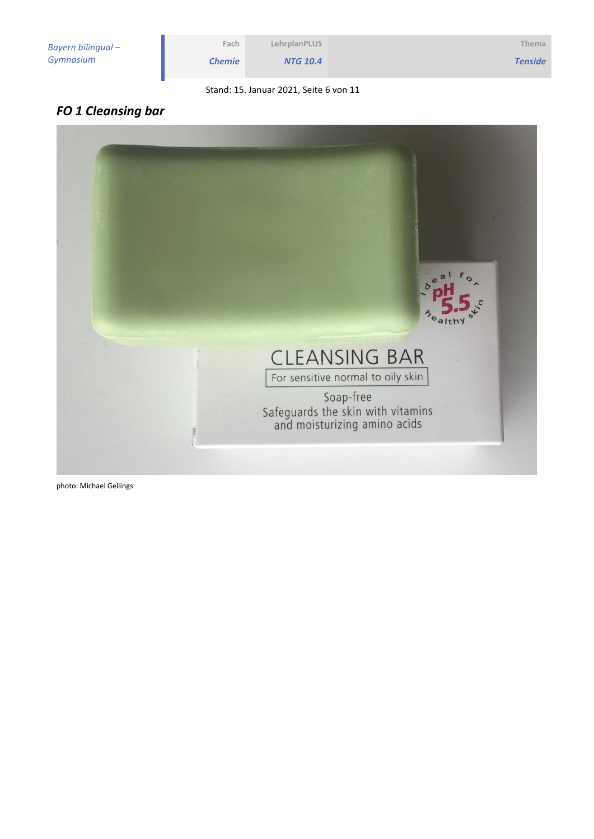| Fach          | LehrplanPLUS                           | Thema          |
|---------------|----------------------------------------|----------------|
| <b>Chemie</b> | <b>NTG 10.4</b>                        | <b>Tenside</b> |
|               | Stand: 15. Januar 2021, Seite 6 von 11 |                |

## *FO 1 Cleansing bar*



photo: Michael Gellings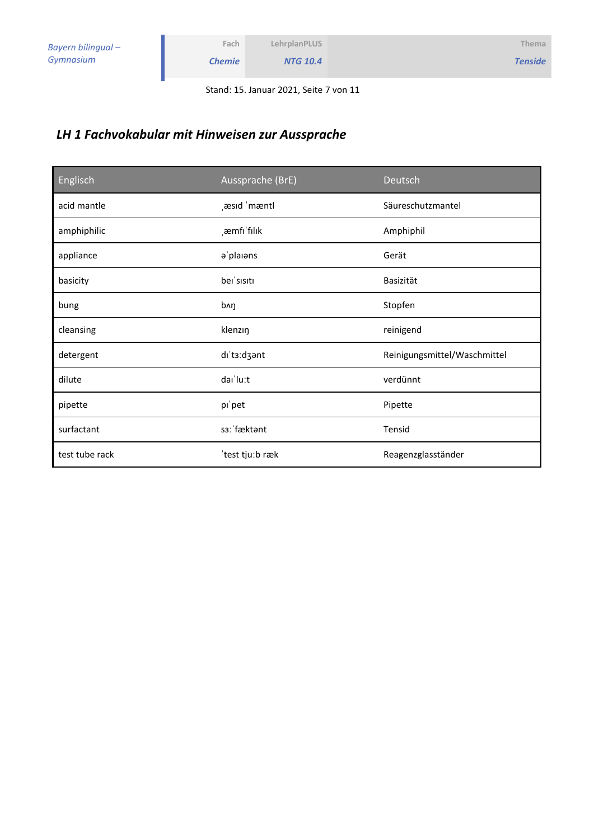Stand: 15. Januar 2021, Seite 7 von 11

## *LH 1 Fachvokabular mit Hinweisen zur Aussprache*

**Fach** *Chemie*

| Englisch       | Aussprache (BrE) | Deutsch                      |
|----------------|------------------|------------------------------|
| acid mantle    | æsid 'mæntl      | Säureschutzmantel            |
| amphiphilic    | emfi'filik       | Amphiphil                    |
| appliance      | a'plaians        | Gerät                        |
| basicity       | bei'sisiti       | Basizität                    |
| bung           | bʌŋ              | Stopfen                      |
| cleansing      | klenzin          | reinigend                    |
| detergent      | dı'ta:dzant      | Reinigungsmittel/Waschmittel |
| dilute         | dai'lu:t         | verdünnt                     |
| pipette        | pi'pet           | Pipette                      |
| surfactant     | s3: fæktant      | Tensid                       |
| test tube rack | 'test tju:b ræk  | Reagenzglasständer           |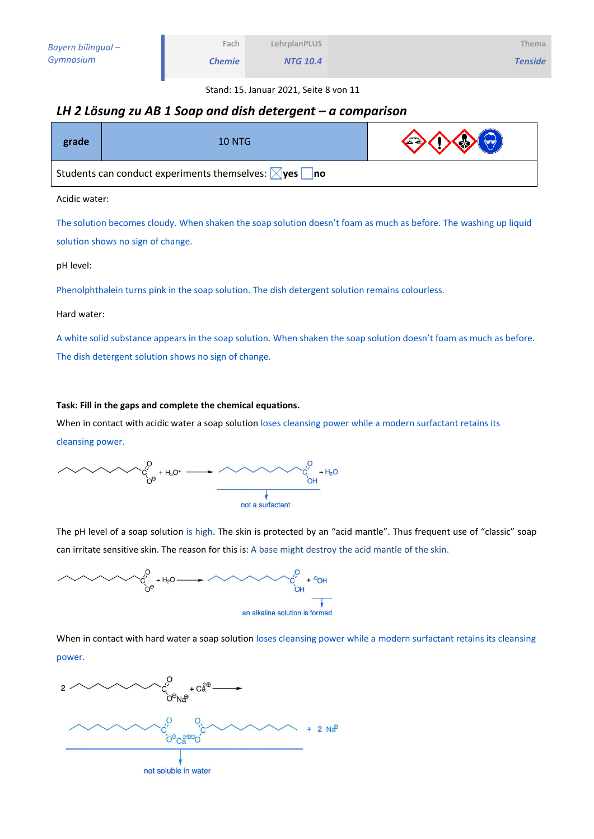*NTG 10.4*

Stand: 15. Januar 2021, Seite 8 von 11

### *LH 2 Lösung zu AB 1 Soap and dish detergent – a comparison*

**Fach** *Chemie*

| grade                                                                  | <b>10 NTG</b> | $\Leftrightarrow$ |
|------------------------------------------------------------------------|---------------|-------------------|
| Students can conduct experiments themselves: $\boxtimes$ yes $\Box$ no |               |                   |

Acidic water:

The solution becomes cloudy. When shaken the soap solution doesn't foam as much as before. The washing up liquid solution shows no sign of change.

pH level:

Phenolphthalein turns pink in the soap solution. The dish detergent solution remains colourless.

Hard water:

A white solid substance appears in the soap solution. When shaken the soap solution doesn't foam as much as before. The dish detergent solution shows no sign of change.

#### **Task: Fill in the gaps and complete the chemical equations.**

When in contact with acidic water a soap solution loses cleansing power while a modern surfactant retains its cleansing power.

 $\sim$   $\alpha_{\gamma_{\theta}}^{0}$  + H<sub>3</sub>O<sup>+</sup>  $\longrightarrow$   $\sim$  $\sim$   $\sim$   $\sim$   $\frac{c_1'}{c_1}$  + H<sub>2</sub>O not a surfactant

The pH level of a soap solution is high. The skin is protected by an "acid mantle". Thus frequent use of "classic" soap can irritate sensitive skin. The reason for this is: A base might destroy the acid mantle of the skin.



When in contact with hard water a soap solution loses cleansing power while a modern surfactant retains its cleansing power.

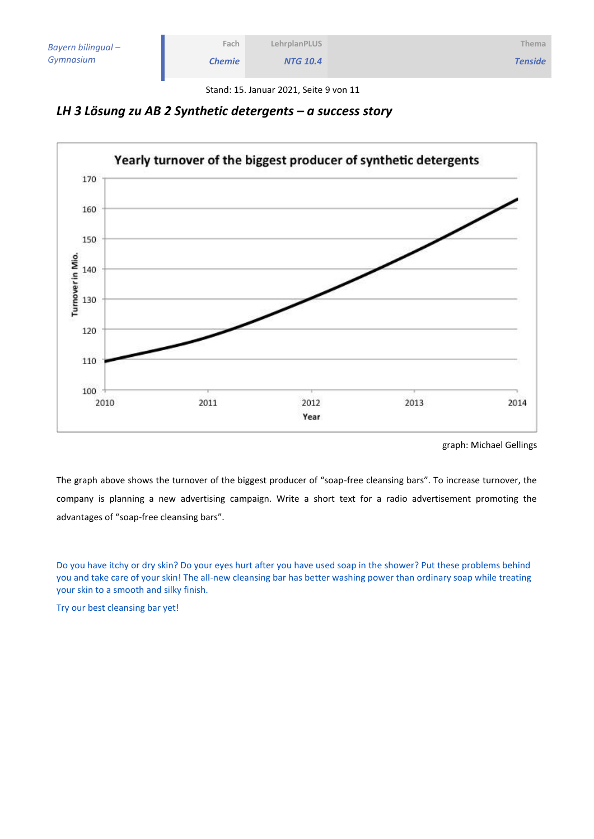| Bayern bilingual – |  |
|--------------------|--|
| Gymnasium          |  |

Stand: 15. Januar 2021, Seite 9 von 11



**Fach** *Chemie*



graph: Michael Gellings

The graph above shows the turnover of the biggest producer of "soap-free cleansing bars". To increase turnover, the company is planning a new advertising campaign. Write a short text for a radio advertisement promoting the advantages of "soap-free cleansing bars".

Do you have itchy or dry skin? Do your eyes hurt after you have used soap in the shower? Put these problems behind you and take care of your skin! The all-new cleansing bar has better washing power than ordinary soap while treating your skin to a smooth and silky finish.

Try our best cleansing bar yet!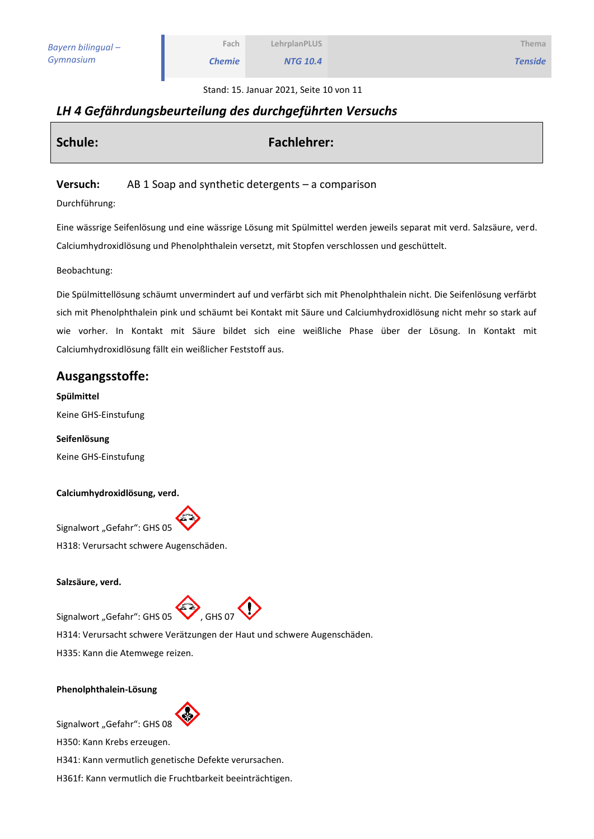**Thema** *Tenside*

Stand: 15. Januar 2021, Seite 10 von 11

## *LH 4 Gefährdungsbeurteilung des durchgeführten Versuchs*

| Schule: | <b>Fachlehrer:</b> |
|---------|--------------------|
|         |                    |

#### **Versuch:** AB 1 Soap and synthetic detergents – a comparison

Durchführung:

Eine wässrige Seifenlösung und eine wässrige Lösung mit Spülmittel werden jeweils separat mit verd. Salzsäure, verd. Calciumhydroxidlösung und Phenolphthalein versetzt, mit Stopfen verschlossen und geschüttelt.

Beobachtung:

Die Spülmittellösung schäumt unvermindert auf und verfärbt sich mit Phenolphthalein nicht. Die Seifenlösung verfärbt sich mit Phenolphthalein pink und schäumt bei Kontakt mit Säure und Calciumhydroxidlösung nicht mehr so stark auf wie vorher. In Kontakt mit Säure bildet sich eine weißliche Phase über der Lösung. In Kontakt mit Calciumhydroxidlösung fällt ein weißlicher Feststoff aus.

### **Ausgangsstoffe:**

**Spülmittel** Keine GHS-Einstufung

**Seifenlösung** Keine GHS-Einstufung

#### **Calciumhydroxidlösung, verd.**

Signalwort "Gefahr": GHS 05 H318: Verursacht schwere Augenschäden.

#### **Salzsäure, verd.**

 $Signalwort$  "Gefahr": GHS 05 , GHS 07



H314: Verursacht schwere Verätzungen der Haut und schwere Augenschäden.

H335: Kann die Atemwege reizen.

#### **Phenolphthalein-Lösung**



Signalwort "Gefahr": GHS 08

H350: Kann Krebs erzeugen.

H341: Kann vermutlich genetische Defekte verursachen.

H361f: Kann vermutlich die Fruchtbarkeit beeinträchtigen.